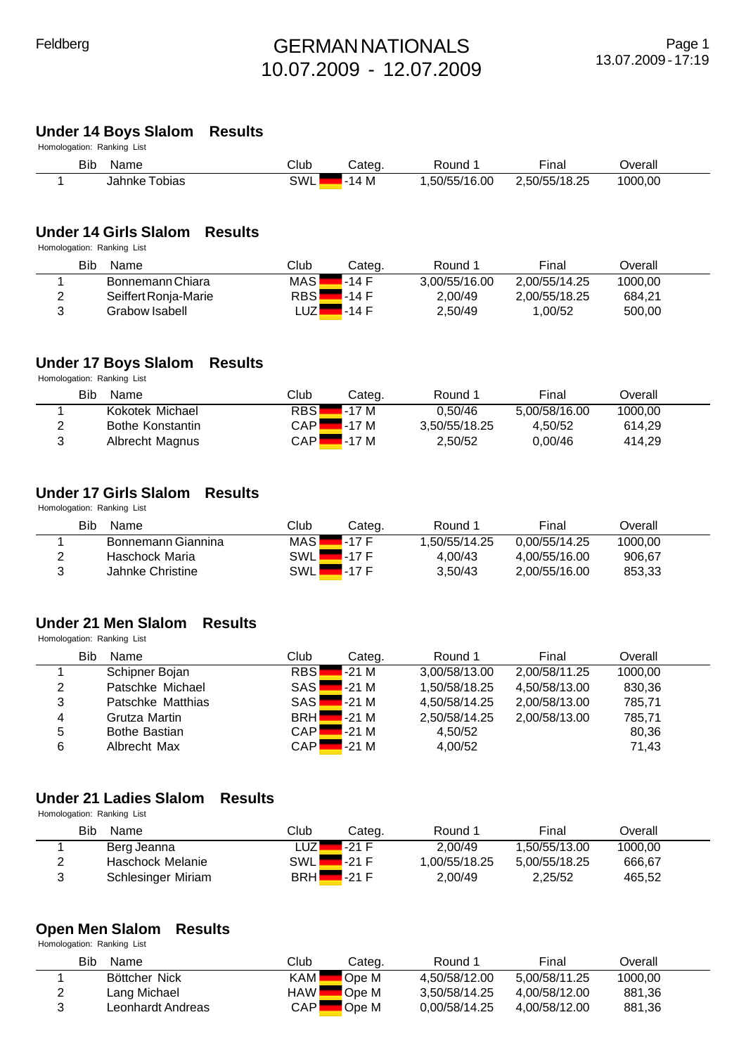#### **Under 14 Boys Slalom Results**

| Homologation: Ranking List |               |      |        |              |               |         |
|----------------------------|---------------|------|--------|--------------|---------------|---------|
| Bib                        | Name          | Club | Cateɑ. | Round        | Final         | Overall |
|                            | Jahnke Tobias | SWL  | 14M    | .50/55/16.00 | 2.50/55/18.25 | 1000.00 |

#### **Under 14 Girls Slalom Results**

Homologation: Ranking List

| Bib<br>Name          | Club         | Cateɑ.  | Round         | Final         | Dverall |  |
|----------------------|--------------|---------|---------------|---------------|---------|--|
| Bonnemann Chiara     | <b>MAS</b>   | $-14$ F | 3.00/55/16.00 | 2.00/55/14.25 | 1000.00 |  |
| Seiffert Ronja-Marie | <b>RBS</b>   | 4-14 F  | 2.00/49       | 2.00/55/18.25 | 684.21  |  |
| Grabow Isabell       | _UZ <i>▼</i> | ∡-14 F  | 2.50/49       | .00/52        | 500.00  |  |

#### **Under 17 Boys Slalom Results**

Homologation: Ranking List

|   | Bib<br>Name      | Club       | Cateɑ. | Round         | Final         | Overall |  |
|---|------------------|------------|--------|---------------|---------------|---------|--|
|   | Kokotek Michael  | <b>RBS</b> | 4-17 M | 0.50/46       | 5.00/58/16.00 | 1000,00 |  |
|   | Bothe Konstantin | CAPI       | 7-17 M | 3.50/55/18.25 | 4.50/52       | 614.29  |  |
| 2 | Albrecht Magnus  | CAPI       | l-17 M | 2,50/52       | 0.00/46       | 414.29  |  |

## **Under 17 Girls Slalom Results**

Homologation: Ranking List

| Bib<br>Name        | Club  | Categ. | Round 1       | Final         | Overall |  |
|--------------------|-------|--------|---------------|---------------|---------|--|
| Bonnemann Giannina | MAS I | 1-17 F | 1.50/55/14.25 | 0.00/55/14.25 | 1000.00 |  |
| Haschock Maria     | SWL⊾  | $-17F$ | 4.00/43       | 4.00/55/16.00 | 906.67  |  |
| Jahnke Christine   | SWLI  | $-17F$ | 3.50/43       | 2.00/55/16.00 | 853.33  |  |

#### **Under 21 Men Slalom Results**

Homologation: Ranking List

|   | <b>Bib</b><br>Name   | Club       | Categ. | Round 1       | Final         | Overall |  |
|---|----------------------|------------|--------|---------------|---------------|---------|--|
|   | Schipner Bojan       | <b>RBS</b> | -21 M  | 3,00/58/13.00 | 2.00/58/11.25 | 1000.00 |  |
| 2 | Patschke Michael     | <b>SAS</b> | $-21M$ | 1.50/58/18.25 | 4.50/58/13.00 | 830,36  |  |
| 3 | Patschke Matthias    | <b>SAS</b> | $-21M$ | 4,50/58/14.25 | 2.00/58/13.00 | 785,71  |  |
| 4 | Grutza Martin        | <b>BRH</b> | $-21M$ | 2,50/58/14.25 | 2,00/58/13.00 | 785,71  |  |
| 5 | <b>Bothe Bastian</b> | <b>CAP</b> | $-21M$ | 4,50/52       |               | 80,36   |  |
| 6 | Albrecht Max         | <b>CAP</b> | $-21M$ | 4,00/52       |               | 71,43   |  |

#### **Under 21 Ladies Slalom Results**

Homologation: Ranking List

|   | Bib<br>Name        | Club         | Cateɑ.  | Round 1      | Final         | Overall |  |
|---|--------------------|--------------|---------|--------------|---------------|---------|--|
|   | Berg Jeanna        | _UZ <i>L</i> | I-21 F  | 2.00/49      | .50/55/13.00  | 1000.00 |  |
| ົ | Haschock Melanie   | <b>SWL</b>   | $-21 F$ | .00/55/18.25 | 5.00/55/18.25 | 666.67  |  |
| 3 | Schlesinger Miriam | <b>BRH</b>   | 7-21 F  | 2,00/49      | 2.25/52       | 465,52  |  |

## **Open Men Slalom Results**

|   | Bib<br>Name       | Club       | Categ. | Round 1       | Final         | Overall |  |
|---|-------------------|------------|--------|---------------|---------------|---------|--|
|   | Böttcher Nick     | KAM I      | Ope M  | 4.50/58/12.00 | 5.00/58/11.25 | 1000.00 |  |
| ⌒ | Lang Michael      | <b>HAW</b> | Ope M  | 3.50/58/14.25 | 4.00/58/12.00 | 881,36  |  |
|   | Leonhardt Andreas | CAPI       | Ope M  | 0.00/58/14.25 | 4.00/58/12.00 | 881,36  |  |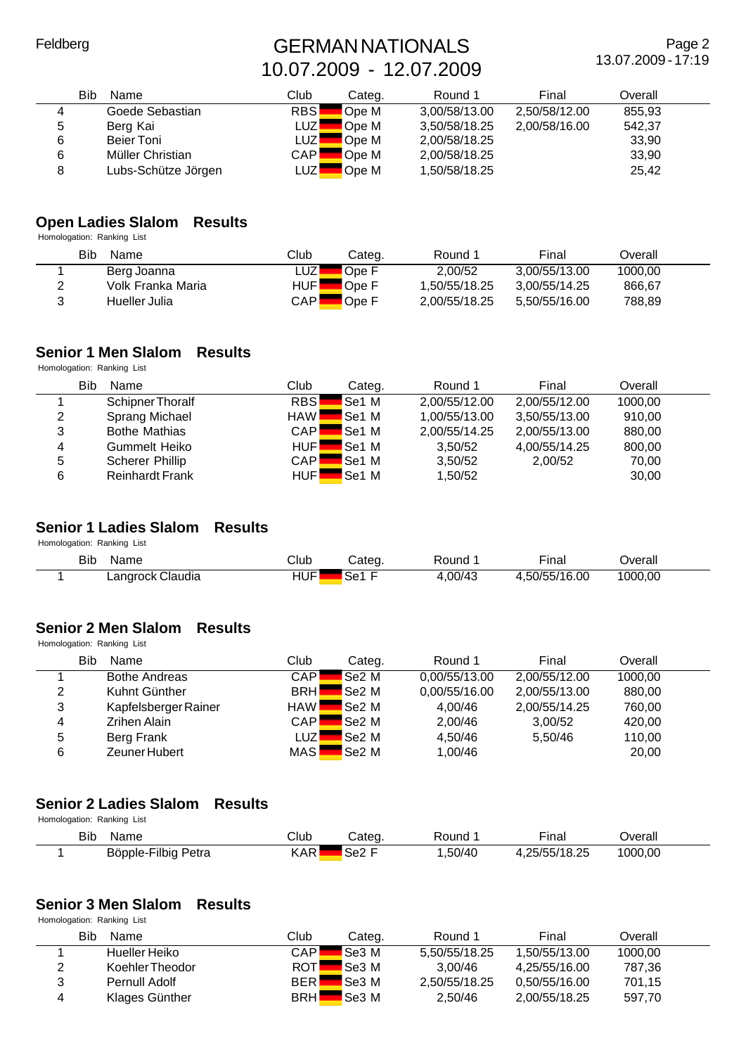Page 2 13.07.2009 - 17:19

|   | Bib<br>Name         | Club             | Categ. | Round 1       | Final         | Overall |  |
|---|---------------------|------------------|--------|---------------|---------------|---------|--|
| 4 | Goede Sebastian     | <b>RBS</b>       | Ope M  | 3,00/58/13.00 | 2,50/58/12.00 | 855,93  |  |
| 5 | Berg Kai            | LUZI             | Ope M  | 3,50/58/18.25 | 2,00/58/16.00 | 542,37  |  |
| 6 | Beier Toni          | LUZ <sup>I</sup> | Ope M  | 2,00/58/18.25 |               | 33,90   |  |
| 6 | Müller Christian    | CAPI             | Ope M  | 2,00/58/18.25 |               | 33,90   |  |
|   | Lubs-Schütze Jörgen | _UZ              | Ope M  | 1,50/58/18.25 |               | 25,42   |  |

#### **Open Ladies Slalom Results**

Homologation: Ranking List

| Bib<br>Name       | Club       | Categ. | Round 1       | Final         | Overall |  |
|-------------------|------------|--------|---------------|---------------|---------|--|
| Berg Joanna       | _UZ'       | Ope F  | 2.00/52       | 3.00/55/13.00 | 1000.00 |  |
| Volk Franka Maria | <b>HUF</b> | Ope F  | 1.50/55/18.25 | 3.00/55/14.25 | 866,67  |  |
| Hueller Julia     | CAPI       | Ope F  | 2,00/55/18.25 | 5.50/55/16.00 | 788,89  |  |

#### **Senior 1 Men Slalom Results** Homologation: Ranking List

|   | <b>Bib</b><br>Name     | Club       | Categ.       | Round 1       | Final         | Overall |  |
|---|------------------------|------------|--------------|---------------|---------------|---------|--|
|   | Schipner Thoralf       | <b>RBS</b> | Se1 M        | 2,00/55/12.00 | 2.00/55/12.00 | 1000.00 |  |
| 2 | Sprang Michael         | <b>HAW</b> | Se1 M        | 1,00/55/13.00 | 3.50/55/13.00 | 910,00  |  |
| 3 | <b>Bothe Mathias</b>   | CAPI       | <b>Se1 M</b> | 2,00/55/14.25 | 2.00/55/13.00 | 880,00  |  |
| 4 | Gummelt Heiko          | HUFI       | Se1 M        | 3.50/52       | 4.00/55/14.25 | 800,00  |  |
| 5 | Scherer Phillip        | CAPI       | <b>Se1 M</b> | 3,50/52       | 2.00/52       | 70,00   |  |
| 6 | <b>Reinhardt Frank</b> | <b>HUF</b> | <b>Se1 M</b> | 1,50/52       |               | 30,00   |  |

#### **Senior 1 Ladies Slalom Results**

Homologation: Ranking List

| <b>Bib</b> | Name                                 | $\mathsf{C}$ lub | ∵ateα. | Round       | $- \cdot$<br>·ına. | )verall |
|------------|--------------------------------------|------------------|--------|-------------|--------------------|---------|
|            | <br>Claudia<br>∟angrock <sup>r</sup> | <b>HUF</b>       | دە؟    | ,00/43<br>4 | .50/55/16.00       | 1000,00 |

#### **Senior 2 Men Slalom Results**

Homologation: Ranking List

|   | <b>Bib</b><br>Name   | Club       | Categ.                               | Round 1       | Final         | Overall |  |
|---|----------------------|------------|--------------------------------------|---------------|---------------|---------|--|
|   | <b>Bothe Andreas</b> | CAPI       | <b>Se2 M</b>                         | 0.00/55/13.00 | 2.00/55/12.00 | 1000.00 |  |
| 2 | Kuhnt Günther        | <b>BRH</b> | Se <sub>2</sub> M                    | 0,00/55/16.00 | 2,00/55/13.00 | 880,00  |  |
| 3 | Kapfelsberger Rainer | <b>HAW</b> | $\mathsf{I}\mathsf{Se2}\ \mathsf{M}$ | 4.00/46       | 2.00/55/14.25 | 760.00  |  |
| 4 | Zrihen Alain         | CAPI       | <b>Se2</b> M                         | 2,00/46       | 3.00/52       | 420,00  |  |
| 5 | Berg Frank           | LUZI       | <b>Se2</b> M                         | 4.50/46       | 5.50/46       | 110,00  |  |
| 6 | Zeuner Hubert        | <b>MAS</b> | $\mathsf{I}\mathsf{Se2}\ \mathsf{M}$ | 1,00/46       |               | 20,00   |  |

#### **Senior 2 Ladies Slalom Results**

Homologation: Ranking List

| <b>Bib</b> | Name                   | Club       | じateg       | Round  | - -<br>∙ınaı  | )verall |
|------------|------------------------|------------|-------------|--------|---------------|---------|
|            | Böpple-Filbig<br>Petra | <b>KAR</b> | <b>Se2F</b> | ,50/40 | 1.25/55/18.25 | 1000,00 |

#### **Senior 3 Men Slalom Results**

|   | Bib<br>Name     | Club       | Categ.       | Round 1       | Final         | Overall |  |
|---|-----------------|------------|--------------|---------------|---------------|---------|--|
|   | Hueller Heiko   | CAPI       | <b>Se3</b> M | 5.50/55/18.25 | 1.50/55/13.00 | 1000.00 |  |
|   | Koehler Theodor | <b>ROT</b> | <b>Se3</b> M | 3.00/46       | 4.25/55/16.00 | 787,36  |  |
| ີ | Pernull Adolf   | <b>BER</b> | <b>Se3</b> M | 2.50/55/18.25 | 0.50/55/16.00 | 701.15  |  |
|   | Klages Günther  | <b>BRH</b> | <b>Se3</b> M | 2.50/46       | 2,00/55/18.25 | 597,70  |  |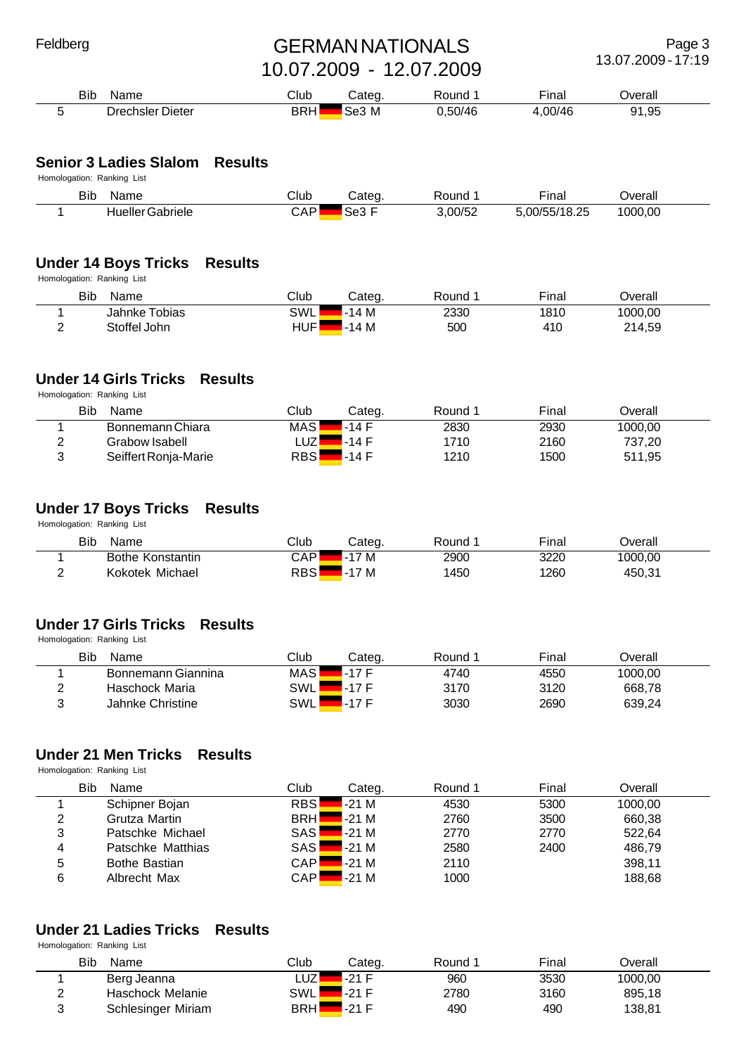Page 3 13.07.2009 - 17:19

| <b>Bib</b><br>Name | Club       | $n_{\rm max}$ | Round | $- \cdot$<br>∙ınal | Jverall          |  |
|--------------------|------------|---------------|-------|--------------------|------------------|--|
| Drechsler Dieter   | <b>BRH</b> | -M<br>.SH.    | 50/46 | $\cap$<br>∕ال      | ,95<br>Ω1<br>- - |  |

#### **Senior 3 Ladies Slalom Results**

Homologation: Ranking List

| <b>Bib</b> | Name                 | Club | Cateq.        | ≀ounc   | $- \cdot$<br>⊦ınal | ∪eral   |
|------------|----------------------|------|---------------|---------|--------------------|---------|
|            | Gabriele<br>Hueller' | CAP  | $\sim$<br>∋eJ | 3,00/52 | ,00/55/18.25       | 1000.00 |

# **Under 14 Boys Tricks Results**

Homologation: Ranking List

| Bib | Name          | Club             | Categ. | Round | Final | <b>Dverall</b> |  |
|-----|---------------|------------------|--------|-------|-------|----------------|--|
|     | Jahnke Tobias | SWL              | $-14M$ | 2330  | 1810  | 1000,00        |  |
| -   | Stoffel John  | HUF <sup>1</sup> | 14 M   | 500   | 410   | 214,59         |  |

## **Under 14 Girls Tricks Results**

Homologation: Ranking List

| <b>Bib</b><br><b>Name</b> | Club         | Categ. | Round | Final | Dverall |  |
|---------------------------|--------------|--------|-------|-------|---------|--|
| Bonnemann Chiara          | <b>MAS</b>   | 7-14 F | 2830  | 2930  | 1000.00 |  |
| Grabow Isabell            | _UZ <i>▼</i> | ∡-14 F | 1710  | 2160  | 737.20  |  |
| Seiffert Ronia-Marie      | RBSI         | .-14 F | 1210  | 1500  | 511,95  |  |

## **Under 17 Boys Tricks Results**

Homologation: Ranking List

|        | Bib<br>Name      | Club | Categ. | Round | Final | Overall |  |
|--------|------------------|------|--------|-------|-------|---------|--|
|        | Bothe Konstantin | CAP. | 7 M    | 2900  | 3220  | 1000,00 |  |
| r<br>- | Kokotek Michael  | RBSI | '7 M   | 450   | 1260  | 450,31  |  |

## **Under 17 Girls Tricks Results**

Homologation: Ranking List

|   | Bib<br>Name        | Club | Cateɑ. | Round | Final | Dverall |  |
|---|--------------------|------|--------|-------|-------|---------|--|
|   | Bonnemann Giannina | MAS  | . 17 F | 4740  | 4550  | 1000.00 |  |
|   | Haschock Maria     | SWL  | . 17 F | 3170  | 3120  | 668,78  |  |
| ັ | Jahnke Christine   | SWL  |        | 3030  | 2690  | 639,24  |  |

## **Under 21 Men Tricks Results**

Homologation: Ranking List

|   | Bib<br>Name          | Club       | Categ. | Round 1 | Final | Overall |  |
|---|----------------------|------------|--------|---------|-------|---------|--|
|   | Schipner Bojan       | <b>RBS</b> | $-21M$ | 4530    | 5300  | 1000.00 |  |
| 2 | Grutza Martin        | <b>BRH</b> | $-21M$ | 2760    | 3500  | 660,38  |  |
| 3 | Patschke Michael     | <b>SAS</b> | $-21M$ | 2770    | 2770  | 522.64  |  |
| 4 | Patschke Matthias    | <b>SAS</b> | $-21M$ | 2580    | 2400  | 486,79  |  |
| 5 | <b>Bothe Bastian</b> | <b>CAP</b> | $-21M$ | 2110    |       | 398,11  |  |
| 6 | Albrecht Max         | CAPI       | $-21M$ | 1000    |       | 188,68  |  |

## **Under 21 Ladies Tricks Results**

|                    | <b>Bib</b><br>Name | Club         | Cateɑ.  | Round | Final | Dverall |  |
|--------------------|--------------------|--------------|---------|-------|-------|---------|--|
|                    | Berg Jeanna        | _UZ <i>L</i> | -21 F   | 960   | 3530  | 1000.00 |  |
| $\sim$<br><u>.</u> | Haschock Melanie   | SWL∎         | $-21$ F | 2780  | 3160  | 895,18  |  |
| ⌒<br>J             | Schlesinger Miriam | <b>BRH</b>   | $-21$ F | 490   | 490   | 138,81  |  |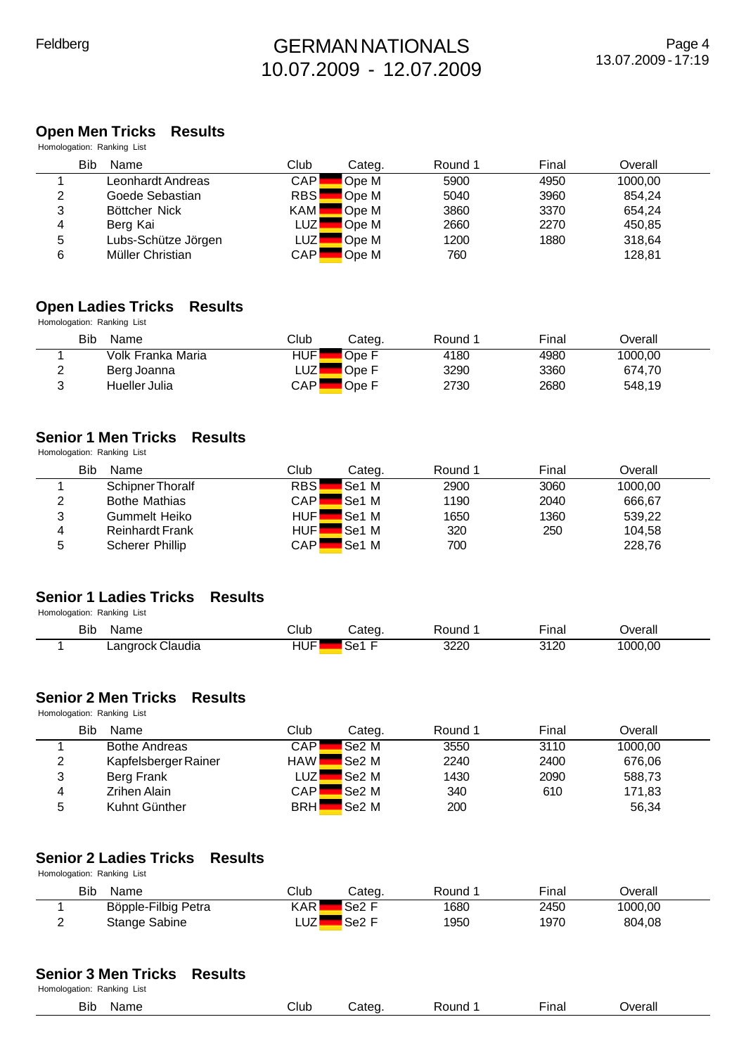## **Open Men Tricks Results**

|   | Homologation: Ranking List |            |        |         |       |         |  |
|---|----------------------------|------------|--------|---------|-------|---------|--|
|   | <b>Bib</b><br>Name         | Club       | Categ. | Round 1 | Final | Overall |  |
|   | Leonhardt Andreas          | <b>CAP</b> | Ope M  | 5900    | 4950  | 1000.00 |  |
| 2 | Goede Sebastian            | <b>RBS</b> | Ope M  | 5040    | 3960  | 854.24  |  |
| 3 | Böttcher Nick              | <b>KAM</b> | Ope M  | 3860    | 3370  | 654.24  |  |
| 4 | Berg Kai                   | <b>LUZ</b> | Ope M  | 2660    | 2270  | 450,85  |  |
| 5 | Lubs-Schütze Jörgen        | <b>LUZ</b> | Ope M  | 1200    | 1880  | 318.64  |  |
| 6 | Müller Christian           | CAPI       | Ope M  | 760     |       | 128,81  |  |

#### **Open Ladies Tricks Results**

Homologation: Ranking List

|        | Bib<br>Name       | Club                | Categ. | Round | Final | Overall |  |
|--------|-------------------|---------------------|--------|-------|-------|---------|--|
|        | Volk Franka Maria | HUFI                | Ope F  | 4180  | 4980  | 1000.00 |  |
| ∸      | Berg Joanna       | LUZ'                | Ope F  | 3290  | 3360  | 674.70  |  |
| ⌒<br>J | Hueller Julia     | $\mathsf{CAP}\vert$ | Ope F  | 2730  | 2680  | 548.19  |  |

#### **Senior 1 Men Tricks Results**

Homologation: Ranking List

|   | <b>Bib</b><br>Name     | Club       | Categ.       | Round 1 | Final | Overall |  |
|---|------------------------|------------|--------------|---------|-------|---------|--|
|   | Schipner Thoralf       | <b>RBS</b> | Se1 M        | 2900    | 3060  | 1000.00 |  |
| 2 | <b>Bothe Mathias</b>   | CAPI       | Se1 M        | 1190    | 2040  | 666,67  |  |
| 3 | <b>Gummelt Heiko</b>   | <b>HUF</b> | <b>Se1 M</b> | 1650    | 1360  | 539.22  |  |
| 4 | <b>Reinhardt Frank</b> | HUF        | <b>Se1 M</b> | 320     | 250   | 104.58  |  |
| 5 | Scherer Phillip        | CAPI       | Se1 M        | 700     |       | 228,76  |  |

#### **Senior 1 Ladies Tricks Results** Homologation: Ranking List

| <b>Bib</b><br>Name | Club | ∵ateo          | Round | $-1$<br>∙inal | <b>Dverall</b> |  |
|--------------------|------|----------------|-------|---------------|----------------|--|
| Langrock Claudia   | HUF' | $\sim$<br>∡Se1 | 3220  | 3120          | 1000,00        |  |

#### **Senior 2 Men Tricks Results**

Homologation: Ranking List

|   | Bib<br>Name          | Club       | Categ.            | Round 1 | Final | Overall |  |
|---|----------------------|------------|-------------------|---------|-------|---------|--|
|   | <b>Bothe Andreas</b> | CAPI       | <b>Se2 M</b>      | 3550    | 3110  | 1000.00 |  |
| 2 | Kapfelsberger Rainer | <b>HAW</b> | <b>Se2</b> M      | 2240    | 2400  | 676,06  |  |
| 3 | Berg Frank           | ∟∪zl       | <b>Se2 M</b>      | 1430    | 2090  | 588,73  |  |
| 4 | <b>Zrihen Alain</b>  | CAPI       | <b>Se2 M</b>      | 340     | 610   | 171,83  |  |
| 5 | Kuhnt Günther        | <b>BRH</b> | Se <sub>2</sub> M | 200     |       | 56,34   |  |

#### **Senior 2 Ladies Tricks Results** Homologation: Ranking List

|          | Bib<br>Name         | Club | Categ             | Round | Fina⊩ | <b>Dverall</b> |  |
|----------|---------------------|------|-------------------|-------|-------|----------------|--|
|          | Böpple-Filbig Petra | KAR  | Se <sub>2</sub> F | 1680  | 2450  | 1000,00        |  |
| <u>_</u> | Stange Sabine       | ∟UZ' | Se <sub>2</sub>   | 1950  | 1970  | 804,08         |  |

#### **Senior 3 Men Tricks Results**

| `\al<br>___<br>.<br>$\sim$ | Bib | me | Club |  | . .<br>unc | ınal | werall<br>erall |
|----------------------------|-----|----|------|--|------------|------|-----------------|
|----------------------------|-----|----|------|--|------------|------|-----------------|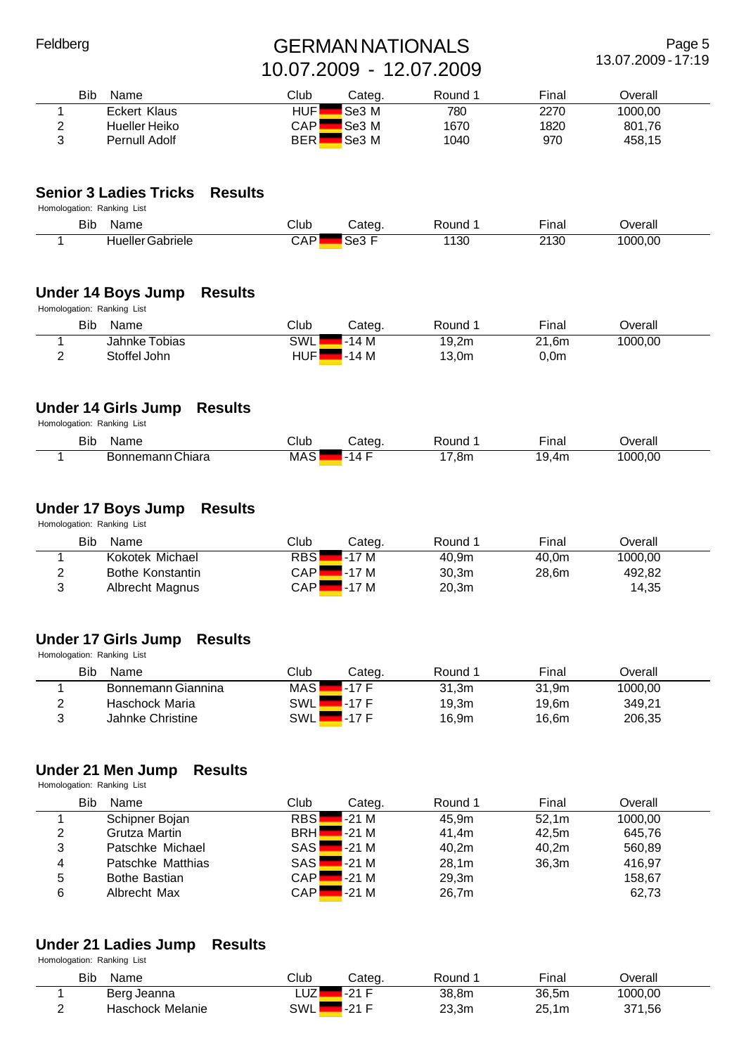Page 5 13.07.2009 - 17:19

|        | Bib<br>Name   | Club       | Categ. | Round | Final | Dverall |  |
|--------|---------------|------------|--------|-------|-------|---------|--|
|        | Eckert Klaus  | <b>HUF</b> | Se3 M  | 780   | 2270  | 1000,00 |  |
| _      | Hueller Heiko | <b>CAP</b> | Se3 M  | 1670  | 1820  | 801,76  |  |
| $\sim$ | Pernull Adolf | <b>BER</b> | Se3 M  | 1040  | 970   | 458,15  |  |

#### **Senior 3 Ladies Tricks Results**

| Homologation: Ranking List |                         |      |        |       |              |         |
|----------------------------|-------------------------|------|--------|-------|--------------|---------|
| Bib                        | Name                    | Club | Categ. | Round | $-$<br>⊢ınal | Jverall |
|                            | <b>Hueller Gabriele</b> | CAP  | Se3    | 1130  | 2130         | 1000,00 |

#### **Under 14 Boys Jump Results**

Homologation: Ranking List

| Bib | Name          | Club | Categ. | Round | Final | ⊃verall |
|-----|---------------|------|--------|-------|-------|---------|
|     | Jahnke Tobias | SWL  | $-14M$ | 19,2m | 21.6m | 1000.00 |
| -   | Stoffel John  | HUF  | $-14M$ | 13,0m | 0,0m  |         |

## **Under 14 Girls Jump Results**

Homologation: Ranking List

| Bib<br>$\sim$ | Name                 | Club     | Cateq. | ound: | $- \cdot$<br>∙ınal | Jverall<br>___ |
|---------------|----------------------|----------|--------|-------|--------------------|----------------|
|               | nemann Chiara<br>Bor | ⌒<br>MAS | 14     | 7,8m. | า เว<br>411.       | 1000.00        |

#### **Under 17 Boys Jump Results**

Homologation: Ranking List

|          | Bib<br>Name             | Club       | Categ. | Round 1 | Final | Overall |  |
|----------|-------------------------|------------|--------|---------|-------|---------|--|
|          | Kokotek Michael         | <b>RBS</b> | l-17 M | 40.9m   | 40.0m | 1000.00 |  |
| <u>_</u> | <b>Bothe Konstantin</b> | CAPI       | -17 M  | 30.3m   | 28,6m | 492,82  |  |
| າ<br>ບ   | Albrecht Magnus         | CAPI       | $-17M$ | 20.3m   |       | 14,35   |  |

#### **Under 17 Girls Jump Results** Homologation: Ranking List

|   | Bib<br>Name        | Club       | Categ. | Round | Final | ⊃verall |  |
|---|--------------------|------------|--------|-------|-------|---------|--|
|   | Bonnemann Giannina | <b>MAS</b> | $-17F$ | 31.3m | 31.9m | 1000,00 |  |
|   | Haschock Maria     | SWLI       | ∡-17 F | 19.3m | 19.6m | 349,21  |  |
| ◠ | Jahnke Christine   | SWLI       | $-17F$ | 16.9m | 16,6m | 206,35  |  |

#### **Under 21 Men Jump Results**

Homologation: Ranking List

|   | <b>Bib</b><br>Name   | Club       | Categ. | Round 1 | Final             | Overall |  |
|---|----------------------|------------|--------|---------|-------------------|---------|--|
|   | Schipner Bojan       | RBS        | $-21M$ | 45.9m   | 52.1m             | 1000.00 |  |
| 2 | Grutza Martin        | <b>BRH</b> | $-21M$ | 41.4m   | 42.5m             | 645,76  |  |
| 3 | Patschke Michael     | <b>SAS</b> | $-21M$ | 40.2m   | 40.2 <sub>m</sub> | 560,89  |  |
| 4 | Patschke Matthias    | <b>SAS</b> | $-21M$ | 28.1m   | 36.3m             | 416,97  |  |
| 5 | <b>Bothe Bastian</b> | <b>CAP</b> | $-21M$ | 29,3m   |                   | 158,67  |  |
| 6 | Albrecht Max         | <b>CAP</b> | $-21M$ | 26,7m   |                   | 62,73   |  |

#### **Under 21 Ladies Jump Results**

| <b>Bib</b><br>Name | Club        | Categ.               | Round | Final                | Dverall |  |
|--------------------|-------------|----------------------|-------|----------------------|---------|--|
| Berg Jeanna        | ו לו<br>LUZ | $\Omega$<br><u>.</u> | 38,8m | 36,5m                | 1000,00 |  |
| Haschock Melanie   | SWL         | $\Omega$<br><u>.</u> | 23,3m | 25<br>1 <sub>m</sub> | 371,56  |  |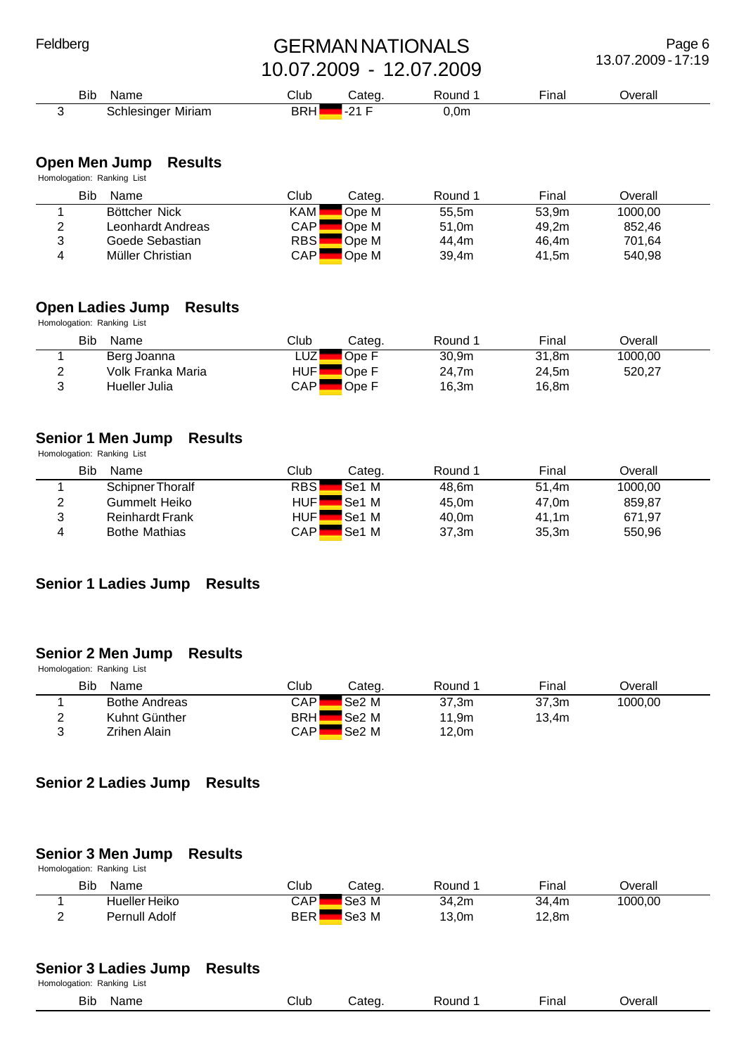Page 6 13.07.2009 - 17:19

| Bib | Name                           | $\mathsf{Sub}$ | ∶ateα    | Round | - -<br><b>Inai</b> | )∨erall |  |
|-----|--------------------------------|----------------|----------|-------|--------------------|---------|--|
|     | Miriam<br>unlesinger<br>$\sim$ | <b>BRH</b>     | $\Omega$ | ,0m   |                    |         |  |

#### **Open Men Jump Results**

Homologation: Ranking List

|   | Bib<br>Name       | Club       | Categ. | Round 1 | Final | Overall |  |
|---|-------------------|------------|--------|---------|-------|---------|--|
|   | Böttcher Nick     | <b>KAM</b> | Ope M  | 55,5m   | 53.9m | 1000.00 |  |
| 2 | Leonhardt Andreas | <b>CAP</b> | Ope M  | 51.0m   | 49.2m | 852.46  |  |
| 3 | Goede Sebastian   | <b>RBS</b> | Ope M  | 44.4m   | 46.4m | 701.64  |  |
| 4 | Müller Christian  | <b>CAP</b> | Ope M  | 39.4m   | 41.5m | 540,98  |  |

#### **Open Ladies Jump Results**

Homologation: Ranking List

|   | Bib<br>Name       | Club | Categ. | Round 1           | Final | Overall |  |
|---|-------------------|------|--------|-------------------|-------|---------|--|
|   | Berg Joanna       | _UZ' | Ope F  | 30.9 <sub>m</sub> | 31.8m | 1000,00 |  |
| ົ | Volk Franka Maria | HUFl | Ope F  | 24.7m             | 24.5m | 520.27  |  |
| ົ | Hueller Julia     | CAPI | Ope F  | 16,3m             | 16,8m |         |  |

#### **Senior 1 Men Jump Results**

Homologation: Ranking List

|        | Bib<br>Name            | Club       | Categ.       | Round 1 | Final | Overall |  |
|--------|------------------------|------------|--------------|---------|-------|---------|--|
|        | Schipner Thoralf       | <b>RBS</b> | Se1 M        | 48.6m   | 51.4m | 1000.00 |  |
| っ<br>∼ | Gummelt Heiko          | HUFI       | <b>Se1 M</b> | 45,0m   | 47.0m | 859.87  |  |
| 3      | <b>Reinhardt Frank</b> | HUF        | <b>Se1 M</b> | 40.0m   | 41.1m | 671,97  |  |
| 4      | <b>Bothe Mathias</b>   | CAPI       | <b>Se1 M</b> | 37,3m   | 35.3m | 550,96  |  |

#### **Senior 1 Ladies Jump Results**

#### **Senior 2 Men Jump Results**

Homologation: Ranking List

|   | Bib<br>Name          | Club       | Categ.            | Round | Final | Dverall |  |
|---|----------------------|------------|-------------------|-------|-------|---------|--|
|   | <b>Bothe Andreas</b> | CAPI       | Se <sub>2</sub> M | 37,3m | 37.3m | 1000.00 |  |
|   | Kuhnt Günther        | <b>BRH</b> | Se <sub>2</sub> M | 11,9m | 13.4m |         |  |
| ◠ | Zrihen Alain         | CAPI       | Se2 M             | 12,0m |       |         |  |

#### **Senior 2 Ladies Jump Results**

#### **Senior 3 Men Jump Results**

| Homologation: Ranking List |               |            |               |       |                   |         |  |  |  |  |  |
|----------------------------|---------------|------------|---------------|-------|-------------------|---------|--|--|--|--|--|
| Bib                        | Name          | Club       | Categ.        | Round | Final             | Dverall |  |  |  |  |  |
|                            | Hueller Heiko | CAPI       | Se3 M         | 34,2m | 34.4m             | 1000,00 |  |  |  |  |  |
| c                          | Pernull Adolf | <b>BER</b> | $\sf l$ Se3 M | 13,0m | 12.8 <sub>m</sub> |         |  |  |  |  |  |

#### **Senior 3 Ladies Jump Results** Homologation: Ranking List

| <b>THOMPOGATION</b> : <b>Reditting</b> List |      |      |       |       |              |         |
|---------------------------------------------|------|------|-------|-------|--------------|---------|
| Bib                                         | Name | Club | ;ateα | Round | - -<br>∹ınal | Jverall |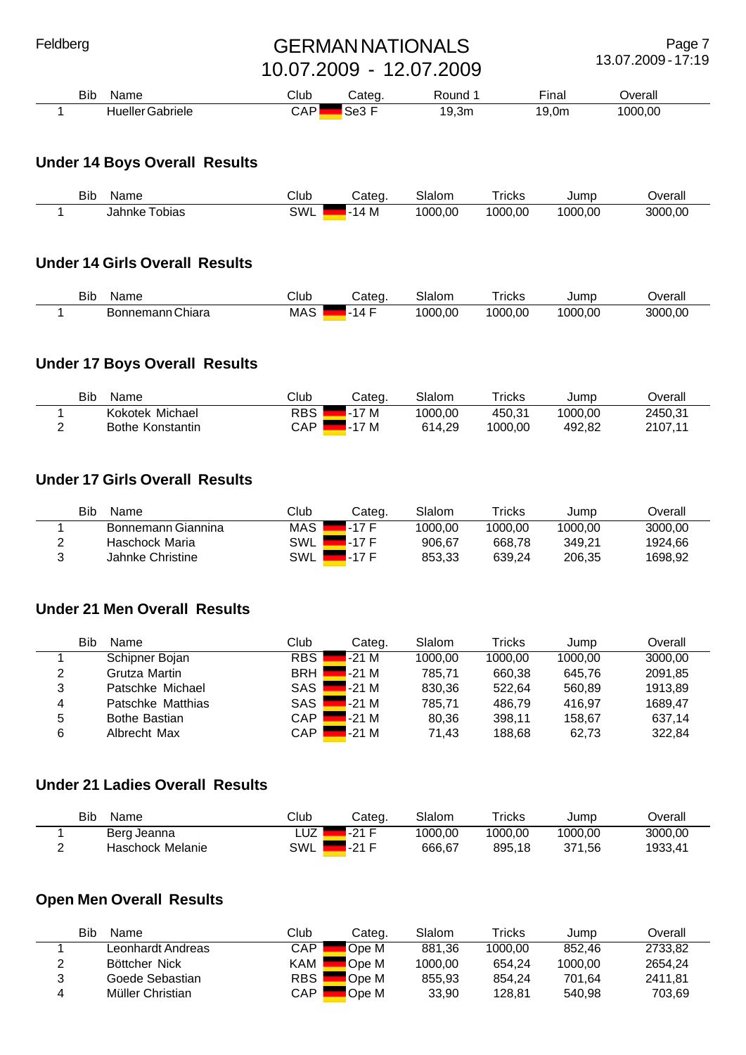Page 7 13.07.2009 - 17:19

| Name<br>Bit         | Club | .ateq         | ≀ound            | --<br><b>Inal</b> | )verall |  |
|---------------------|------|---------------|------------------|-------------------|---------|--|
| Gabriele<br>Hueller | CAP  | -<br>∽<br>Se3 | ຳ<br>9,3m<br>ı u | 19,0m             | 1000,00 |  |

## **Under 14 Boys Overall Results**

| <b>Bib</b> | Name             | Club | Categ | Slalom  | $r$ ricks | Jump    | Overall |
|------------|------------------|------|-------|---------|-----------|---------|---------|
|            | Tobias<br>Jahnke | SWL  | M     | 1000,00 | 1000,00   | 1000.00 | 3000.00 |

#### **Under 14 Girls Overall Results**

| Bit | Name             | Club       | شateα   | Slalom | <sup>.</sup> ricks | Jump    | <b>T</b> |
|-----|------------------|------------|---------|--------|--------------------|---------|----------|
|     | Bonnemann Chiara | <b>MAS</b> | -<br>14 | 000.00 | 1000.00            | 1000.00 | 3000,00  |

#### **Under 17 Boys Overall Results**

| Bib<br>Name             | Club  | Categ. | Slalom  | $\intercal$ ricks | Jump    | Jverall |
|-------------------------|-------|--------|---------|-------------------|---------|---------|
| Kokotek Michael         | RBS I | $-17M$ | 1000.00 | 450.31            | 1000.00 | 2450.31 |
| <b>Bothe Konstantin</b> | CAP   | $-17M$ | 614.29  | 1000.00           | 492.82  | 2107.11 |

#### **Under 17 Girls Overall Results**

|   | Bib<br>Name        | Club       | Categ. | Slalom  | Tricks  | Jump    | Overall |
|---|--------------------|------------|--------|---------|---------|---------|---------|
|   | Bonnemann Giannina | MAS ⊾      | -17 F  | 1000.00 | 1000.00 | 1000.00 | 3000.00 |
| っ | Haschock Maria     | <b>SWL</b> | .-17 F | 906.67  | 668.78  | 349.21  | 1924.66 |
| 2 | Jahnke Christine   | SWL I      | $-17F$ | 853.33  | 639.24  | 206.35  | 1698.92 |

#### **Under 21 Men Overall Results**

|   | Bib<br>Name       | Club       | Categ. | Slalom  | Tricks  | Jump    | Overall |
|---|-------------------|------------|--------|---------|---------|---------|---------|
|   | Schipner Bojan    | <b>RBS</b> | $-21M$ | 1000.00 | 1000.00 | 1000.00 | 3000.00 |
| 2 | Grutza Martin     | BRH        | $-21M$ | 785.71  | 660.38  | 645.76  | 2091.85 |
| 3 | Patschke Michael  | SAS        | $-21M$ | 830,36  | 522.64  | 560.89  | 1913.89 |
| 4 | Patschke Matthias | SAS        | $-21M$ | 785.71  | 486.79  | 416.97  | 1689.47 |
| 5 | Bothe Bastian     | CAP        | $-21M$ | 80,36   | 398.11  | 158,67  | 637,14  |
| 6 | Albrecht Max      | CAP.       | $-21M$ | 71.43   | 188.68  | 62,73   | 322.84  |

#### **Under 21 Ladies Overall Results**

| <b>Bib</b><br>Name | Club | Categ.             | Slalom  | $\tau$ ricks | Jump    | Dverall |
|--------------------|------|--------------------|---------|--------------|---------|---------|
| Berg Jeanna        | LUZ  | -21 F              | 1000.00 | 1000.00      | 1000.00 | 3000.00 |
| Haschock Melanie   | SWL  | <sub>1</sub> -21 F | 666,67  | 895,18       | 371.56  | 1933.41 |

# **Open Men Overall Results**

|   | Bib<br>Name       | Club         | Categ. | Slalom  | $\mathsf{^{T}$ ricks | Jump    | Overall |
|---|-------------------|--------------|--------|---------|----------------------|---------|---------|
|   | Leonhardt Andreas | CAP.         | Ope M  | 881.36  | 1000.00              | 852.46  | 2733.82 |
|   | Böttcher Nick     | KAM          | Ope M  | 1000.00 | 654.24               | 1000.00 | 2654.24 |
| າ | Goede Sebastian   | RBS <b>N</b> | Ope M  | 855.93  | 854.24               | 701.64  | 2411.81 |
|   | Müller Christian  | CAP.         | Ope M  | 33.90   | 128.81               | 540.98  | 703.69  |